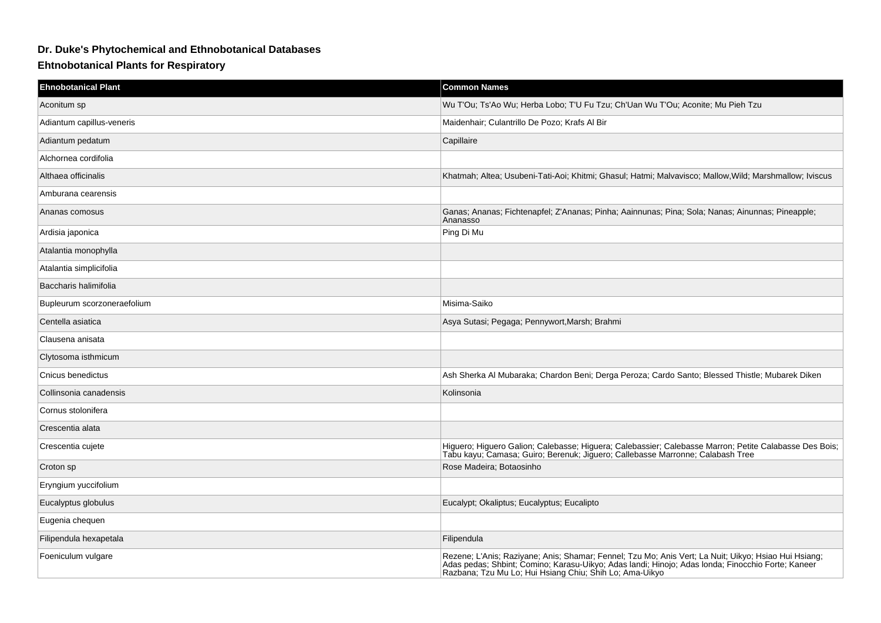## **Dr. Duke's Phytochemical and Ethnobotanical Databases**

## **Ehtnobotanical Plants for Respiratory**

| <b>Ehnobotanical Plant</b>  | <b>Common Names</b>                                                                                                                                                                                                                                                  |
|-----------------------------|----------------------------------------------------------------------------------------------------------------------------------------------------------------------------------------------------------------------------------------------------------------------|
| Aconitum sp                 | Wu T'Ou; Ts'Ao Wu; Herba Lobo; T'U Fu Tzu; Ch'Uan Wu T'Ou; Aconite; Mu Pieh Tzu                                                                                                                                                                                      |
| Adiantum capillus-veneris   | Maidenhair; Culantrillo De Pozo; Krafs Al Bir                                                                                                                                                                                                                        |
| Adiantum pedatum            | Capillaire                                                                                                                                                                                                                                                           |
| Alchornea cordifolia        |                                                                                                                                                                                                                                                                      |
| Althaea officinalis         | Khatmah; Altea; Usubeni-Tati-Aoi; Khitmi; Ghasul; Hatmi; Malvavisco; Mallow, Wild; Marshmallow; Iviscus                                                                                                                                                              |
| Amburana cearensis          |                                                                                                                                                                                                                                                                      |
| Ananas comosus              | Ganas; Ananas; Fichtenapfel; Z'Ananas; Pinha; Aainnunas; Pina; Sola; Nanas; Ainunnas; Pineapple;<br>Ananasso                                                                                                                                                         |
| Ardisia japonica            | Ping Di Mu                                                                                                                                                                                                                                                           |
| Atalantia monophylla        |                                                                                                                                                                                                                                                                      |
| Atalantia simplicifolia     |                                                                                                                                                                                                                                                                      |
| Baccharis halimifolia       |                                                                                                                                                                                                                                                                      |
| Bupleurum scorzoneraefolium | Misima-Saiko                                                                                                                                                                                                                                                         |
| Centella asiatica           | Asya Sutasi; Pegaga; Pennywort, Marsh; Brahmi                                                                                                                                                                                                                        |
| Clausena anisata            |                                                                                                                                                                                                                                                                      |
| Clytosoma isthmicum         |                                                                                                                                                                                                                                                                      |
| Cnicus benedictus           | Ash Sherka Al Mubaraka; Chardon Beni; Derga Peroza; Cardo Santo; Blessed Thistle; Mubarek Diken                                                                                                                                                                      |
| Collinsonia canadensis      | Kolinsonia                                                                                                                                                                                                                                                           |
| Cornus stolonifera          |                                                                                                                                                                                                                                                                      |
| Crescentia alata            |                                                                                                                                                                                                                                                                      |
| Crescentia cujete           | Higuero; Higuero Galion; Calebasse; Higuera; Calebassier; Calebasse Marron; Petite Calabasse Des Bois;<br>Tabu kayu; Camasa; Guiro; Berenuk; Jiguero; Callebasse Marronne; Calabash Tree                                                                             |
| Croton sp                   | Rose Madeira; Botaosinho                                                                                                                                                                                                                                             |
| Eryngium yuccifolium        |                                                                                                                                                                                                                                                                      |
| Eucalyptus globulus         | Eucalypt; Okaliptus; Eucalyptus; Eucalipto                                                                                                                                                                                                                           |
| Eugenia chequen             |                                                                                                                                                                                                                                                                      |
| Filipendula hexapetala      | Filipendula                                                                                                                                                                                                                                                          |
| Foeniculum vulgare          | Rezene; L'Anis; Raziyane; Anis; Shamar; Fennel; Tzu Mo; Anis Vert; La Nuit; Uikyo; Hsiao Hui Hsiang;<br>Adas pedas; Shbint; Comino; Karasu-Uikyo; Adas landi; Hinojo; Adas londa; Finocchio Forte; Kaneer<br>Razbana; Tzu Mu Lo; Hui Hsiang Chiu; Shih Lo; Ama-Uikyo |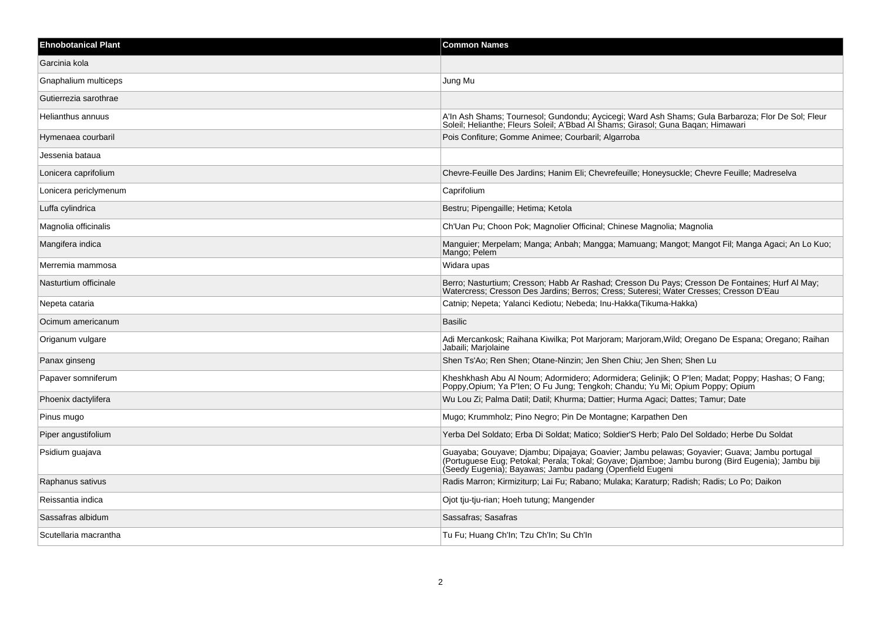| <b>Ehnobotanical Plant</b> | <b>Common Names</b>                                                                                                                                                                                                                                          |
|----------------------------|--------------------------------------------------------------------------------------------------------------------------------------------------------------------------------------------------------------------------------------------------------------|
| Garcinia kola              |                                                                                                                                                                                                                                                              |
| Gnaphalium multiceps       | Jung Mu                                                                                                                                                                                                                                                      |
| Gutierrezia sarothrae      |                                                                                                                                                                                                                                                              |
| Helianthus annuus          | A'ln Ash Shams; Tournesol; Gundondu; Aycicegi; Ward Ash Shams; Gula Barbaroza; Flor De Sol; Fleur<br>Soleil; Helianthe; Fleurs Soleil; A'Bbad Al Shams; Girasol; Guna Bagan; Himawari                                                                        |
| Hymenaea courbaril         | Pois Confiture; Gomme Animee; Courbaril; Algarroba                                                                                                                                                                                                           |
| Jessenia bataua            |                                                                                                                                                                                                                                                              |
| Lonicera caprifolium       | Chevre-Feuille Des Jardins; Hanim Eli; Chevrefeuille; Honeysuckle; Chevre Feuille; Madreselva                                                                                                                                                                |
| Lonicera periclymenum      | Caprifolium                                                                                                                                                                                                                                                  |
| Luffa cylindrica           | Bestru; Pipengaille; Hetima; Ketola                                                                                                                                                                                                                          |
| Magnolia officinalis       | Ch'Uan Pu; Choon Pok; Magnolier Officinal; Chinese Magnolia; Magnolia                                                                                                                                                                                        |
| Mangifera indica           | Manguier; Merpelam; Manga; Anbah; Mangga; Mamuang; Mangot; Mangot Fil; Manga Agaci; An Lo Kuo;<br>Mango; Pelem                                                                                                                                               |
| Merremia mammosa           | Widara upas                                                                                                                                                                                                                                                  |
| Nasturtium officinale      | Berro; Nasturtium; Cresson; Habb Ar Rashad; Cresson Du Pays; Cresson De Fontaines; Hurf Al May;<br>Watercress: Cresson Des Jardins: Berros: Cress: Suteresi: Water Cresses: Cresson D'Eau                                                                    |
| Nepeta cataria             | Catnip; Nepeta; Yalanci Kediotu; Nebeda; Inu-Hakka (Tikuma-Hakka)                                                                                                                                                                                            |
| Ocimum americanum          | Basilic                                                                                                                                                                                                                                                      |
| Origanum vulgare           | Adi Mercankosk; Raihana Kiwilka; Pot Marjoram; Marjoram, Wild; Oregano De Espana; Oregano; Raihan<br>Jabaili; Marjolaine                                                                                                                                     |
| Panax ginseng              | Shen Ts'Ao; Ren Shen; Otane-Ninzin; Jen Shen Chiu; Jen Shen; Shen Lu                                                                                                                                                                                         |
| Papaver somniferum         | Kheshkhash Abu Al Noum; Adormidero; Adormidera; Gelinjik; O P'len; Madat; Poppy; Hashas; O Fang;<br>Poppy, Opium; Ya P'len; O Fu Jung; Tengkoh; Chandu; Yu Mi; Opium Poppy; Opium                                                                            |
| Phoenix dactylifera        | Wu Lou Zi; Palma Datil; Datil; Khurma; Dattier; Hurma Agaci; Dattes; Tamur; Date                                                                                                                                                                             |
| Pinus mugo                 | Mugo; Krummholz; Pino Negro; Pin De Montagne; Karpathen Den                                                                                                                                                                                                  |
| Piper angustifolium        | Yerba Del Soldato; Erba Di Soldat; Matico; Soldier'S Herb; Palo Del Soldado; Herbe Du Soldat                                                                                                                                                                 |
| Psidium guajava            | Guayaba; Gouyave; Djambu; Dipajaya; Goavier; Jambu pelawas; Goyavier; Guava; Jambu portugal<br>(Portuguese Eug; Petokal; Perala; Tokal; Goyave; Djamboe; Jambu burong (Bird Eugenia); Jambu biji<br>(Seedy Eugenia); Bayawas; Jambu padang (Openfield Eugeni |
| Raphanus sativus           | Radis Marron; Kirmiziturp; Lai Fu; Rabano; Mulaka; Karaturp; Radish; Radis; Lo Po; Daikon                                                                                                                                                                    |
| Reissantia indica          | Ojot tju-tju-rian; Hoeh tutung; Mangender                                                                                                                                                                                                                    |
| Sassafras albidum          | Sassafras: Sasafras                                                                                                                                                                                                                                          |
| Scutellaria macrantha      | Tu Fu; Huang Ch'In; Tzu Ch'In; Su Ch'In                                                                                                                                                                                                                      |